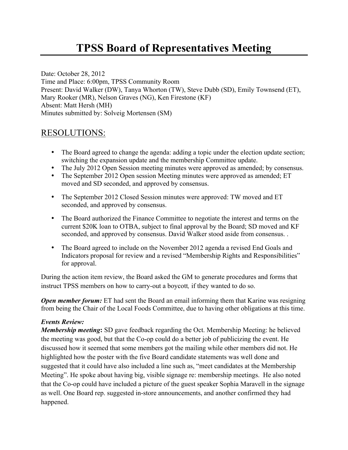## **TPSS Board of Representatives Meeting**

Date: October 28, 2012 Time and Place: 6:00pm, TPSS Community Room Present: David Walker (DW), Tanya Whorton (TW), Steve Dubb (SD), Emily Townsend (ET), Mary Rooker (MR), Nelson Graves (NG), Ken Firestone (KF) Absent: Matt Hersh (MH) Minutes submitted by: Solveig Mortensen (SM)

## RESOLUTIONS:

- The Board agreed to change the agenda: adding a topic under the election update section; switching the expansion update and the membership Committee update.
- The July 2012 Open Session meeting minutes were approved as amended; by consensus.
- The September 2012 Open session Meeting minutes were approved as amended; ET moved and SD seconded, and approved by consensus.
- The September 2012 Closed Session minutes were approved: TW moved and ET seconded, and approved by consensus.
- The Board authorized the Finance Committee to negotiate the interest and terms on the current \$20K loan to OTBA, subject to final approval by the Board; SD moved and KF seconded, and approved by consensus. David Walker stood aside from consensus. .
- The Board agreed to include on the November 2012 agenda a revised End Goals and Indicators proposal for review and a revised "Membership Rights and Responsibilities" for approval.

During the action item review, the Board asked the GM to generate procedures and forms that instruct TPSS members on how to carry-out a boycott*,* if they wanted to do so.

*Open member forum:* ET had sent the Board an email informing them that Karine was resigning from being the Chair of the Local Foods Committee, due to having other obligations at this time.

## *Events Review:*

*Membership meeting***:** SD gave feedback regarding the Oct. Membership Meeting: he believed the meeting was good, but that the Co-op could do a better job of publicizing the event. He discussed how it seemed that some members got the mailing while other members did not. He highlighted how the poster with the five Board candidate statements was well done and suggested that it could have also included a line such as, "meet candidates at the Membership Meeting". He spoke about having big, visible signage re: membership meetings. He also noted that the Co-op could have included a picture of the guest speaker Sophia Maravell in the signage as well. One Board rep. suggested in-store announcements, and another confirmed they had happened.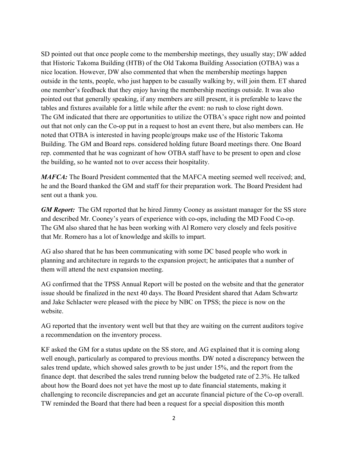SD pointed out that once people come to the membership meetings, they usually stay; DW added that Historic Takoma Building (HTB) of the Old Takoma Building Association (OTBA) was a nice location. However, DW also commented that when the membership meetings happen outside in the tents, people, who just happen to be casually walking by, will join them. ET shared one member's feedback that they enjoy having the membership meetings outside. It was also pointed out that generally speaking, if any members are still present, it is preferable to leave the tables and fixtures available for a little while after the event: no rush to close right down. The GM indicated that there are opportunities to utilize the OTBA's space right now and pointed out that not only can the Co-op put in a request to host an event there, but also members can. He noted that OTBA is interested in having people/groups make use of the Historic Takoma Building. The GM and Board reps. considered holding future Board meetings there. One Board rep. commented that he was cognizant of how OTBA staff have to be present to open and close the building, so he wanted not to over access their hospitality.

*MAFCA*: The Board President commented that the MAFCA meeting seemed well received; and, he and the Board thanked the GM and staff for their preparation work. The Board President had sent out a thank you.

*GM Report:* The GM reported that he hired Jimmy Cooney as assistant manager for the SS store and described Mr. Cooney's years of experience with co-ops, including the MD Food Co-op. The GM also shared that he has been working with Al Romero very closely and feels positive that Mr. Romero has a lot of knowledge and skills to impart.

AG also shared that he has been communicating with some DC based people who work in planning and architecture in regards to the expansion project; he anticipates that a number of them will attend the next expansion meeting.

AG confirmed that the TPSS Annual Report will be posted on the website and that the generator issue should be finalized in the next 40 days. The Board President shared that Adam Schwartz and Jake Schlacter were pleased with the piece by NBC on TPSS; the piece is now on the website.

AG reported that the inventory went well but that they are waiting on the current auditors togive a recommendation on the inventory process.

KF asked the GM for a status update on the SS store, and AG explained that it is coming along well enough, particularly as compared to previous months. DW noted a discrepancy between the sales trend update, which showed sales growth to be just under 15%, and the report from the finance dept. that described the sales trend running below the budgeted rate of 2.3%. He talked about how the Board does not yet have the most up to date financial statements, making it challenging to reconcile discrepancies and get an accurate financial picture of the Co-op overall. TW reminded the Board that there had been a request for a special disposition this month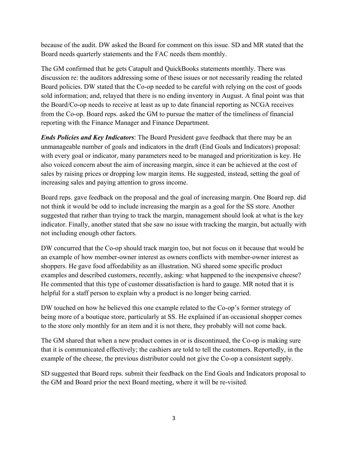because of the audit. DW asked the Board for comment on this issue. SD and MR stated that the Board needs quarterly statements and the FAC needs them monthly.

The GM confirmed that he gets Catapult and QuickBooks statements monthly. There was discussion re: the auditors addressing some of these issues or not necessarily reading the related Board policies. DW stated that the Co-op needed to be careful with relying on the cost of goods sold information; and, relayed that there is no ending inventory in August. A final point was that the Board/Co-op needs to receive at least as up to date financial reporting as NCGA receives from the Co-op. Board reps. asked the GM to pursue the matter of the timeliness of financial reporting with the Finance Manager and Finance Department.

*Ends Policies and Key Indicators*: The Board President gave feedback that there may be an unmanageable number of goals and indicators in the draft (End Goals and Indicators) proposal: with every goal or indicator, many parameters need to be managed and prioritization is key. He also voiced concern about the aim of increasing margin, since it can be achieved at the cost of sales by raising prices or dropping low margin items. He suggested, instead, setting the goal of increasing sales and paying attention to gross income.

Board reps. gave feedback on the proposal and the goal of increasing margin. One Board rep. did not think it would be odd to include increasing the margin as a goal for the SS store. Another suggested that rather than trying to track the margin, management should look at what is the key indicator. Finally, another stated that she saw no issue with tracking the margin, but actually with not including enough other factors.

DW concurred that the Co-op should track margin too, but not focus on it because that would be an example of how member-owner interest as owners conflicts with member-owner interest as shoppers. He gave food affordability as an illustration. NG shared some specific product examples and described customers, recently, asking: what happened to the inexpensive cheese? He commented that this type of customer dissatisfaction is hard to gauge. MR noted that it is helpful for a staff person to explain why a product is no longer being carried.

DW touched on how he believed this one example related to the Co-op's former strategy of being more of a boutique store, particularly at SS. He explained if an occasional shopper comes to the store only monthly for an item and it is not there, they probably will not come back.

The GM shared that when a new product comes in or is discontinued, the Co-op is making sure that it is communicated effectively; the cashiers are told to tell the customers. Reportedly, in the example of the cheese, the previous distributor could not give the Co-op a consistent supply.

SD suggested that Board reps. submit their feedback on the End Goals and Indicators proposal to the GM and Board prior the next Board meeting, where it will be re-visited.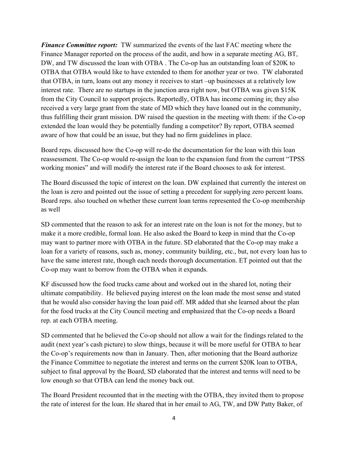*Finance Committee report:* TW summarized the events of the last FAC meeting where the Finance Manager reported on the process of the audit, and how in a separate meeting AG, BT, DW, and TW discussed the loan with OTBA . The Co-op has an outstanding loan of \$20K to OTBA that OTBA would like to have extended to them for another year or two. TW elaborated that OTBA, in turn, loans out any money it receives to start –up businesses at a relatively low interest rate. There are no startups in the junction area right now, but OTBA was given \$15K from the City Council to support projects. Reportedly, OTBA has income coming in; they also received a very large grant from the state of MD which they have loaned out in the community, thus fulfilling their grant mission. DW raised the question in the meeting with them: if the Co-op extended the loan would they be potentially funding a competitor? By report, OTBA seemed aware of how that could be an issue, but they had no firm guidelines in place.

Board reps. discussed how the Co-op will re-do the documentation for the loan with this loan reassessment. The Co-op would re-assign the loan to the expansion fund from the current "TPSS working monies" and will modify the interest rate if the Board chooses to ask for interest.

The Board discussed the topic of interest on the loan. DW explained that currently the interest on the loan is zero and pointed out the issue of setting a precedent for supplying zero percent loans. Board reps. also touched on whether these current loan terms represented the Co-op membership as well

SD commented that the reason to ask for an interest rate on the loan is not for the money, but to make it a more credible, formal loan. He also asked the Board to keep in mind that the Co-op may want to partner more with OTBA in the future. SD elaborated that the Co-op may make a loan for a variety of reasons, such as, money, community building, etc., but, not every loan has to have the same interest rate, though each needs thorough documentation. ET pointed out that the Co-op may want to borrow from the OTBA when it expands.

KF discussed how the food trucks came about and worked out in the shared lot, noting their ultimate compatibility. He believed paying interest on the loan made the most sense and stated that he would also consider having the loan paid off. MR added that she learned about the plan for the food trucks at the City Council meeting and emphasized that the Co-op needs a Board rep. at each OTBA meeting. 

SD commented that he believed the Co-op should not allow a wait for the findings related to the audit (next year's cash picture) to slow things, because it will be more useful for OTBA to hear the Co-op's requirements now than in January. Then, after motioning that the Board authorize the Finance Committee to negotiate the interest and terms on the current \$20K loan to OTBA, subject to final approval by the Board, SD elaborated that the interest and terms will need to be low enough so that OTBA can lend the money back out.

The Board President recounted that in the meeting with the OTBA, they invited them to propose the rate of interest for the loan. He shared that in her email to AG, TW, and DW Patty Baker, of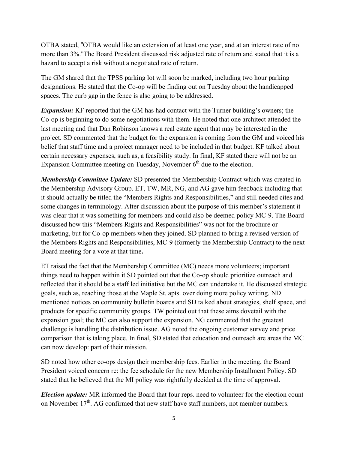OTBA stated, "OTBA would like an extension of at least one year, and at an interest rate of no more than 3%."The Board President discussed risk adjusted rate of return and stated that it is a hazard to accept a risk without a negotiated rate of return.

The GM shared that the TPSS parking lot will soon be marked, including two hour parking designations. He stated that the Co-op will be finding out on Tuesday about the handicapped spaces. The curb gap in the fence is also going to be addressed.

*Expansion:* KF reported that the GM has had contact with the Turner building's owners; the Co-op is beginning to do some negotiations with them. He noted that one architect attended the last meeting and that Dan Robinson knows a real estate agent that may be interested in the project. SD commented that the budget for the expansion is coming from the GM and voiced his belief that staff time and a project manager need to be included in that budget. KF talked about certain necessary expenses, such as, a feasibility study. In final, KF stated there will not be an Expansion Committee meeting on Tuesday, November  $6<sup>th</sup>$  due to the election.

*Membership Committee Update:* SD presented the Membership Contract which was created in the Membership Advisory Group. ET, TW, MR, NG, and AG gave him feedback including that it should actually be titled the "Members Rights and Responsibilities," and still needed cites and some changes in terminology. After discussion about the purpose of this member's statement it was clear that it was something for members and could also be deemed policy MC-9. The Board discussed how this "Members Rights and Responsibilities" was not for the brochure or marketing, but for Co-op members when they joined. SD planned to bring a revised version of the Members Rights and Responsibilities, MC-9 (formerly the Membership Contract) to the next Board meeting for a vote at that time**.** 

ET raised the fact that the Membership Committee (MC) needs more volunteers; important things need to happen within it.SD pointed out that the Co-op should prioritize outreach and reflected that it should be a staff led initiative but the MC can undertake it. He discussed strategic goals, such as, reaching those at the Maple St. apts. over doing more policy writing. ND mentioned notices on community bulletin boards and SD talked about strategies, shelf space, and products for specific community groups. TW pointed out that these aims dovetail with the expansion goal; the MC can also support the expansion. NG commented that the greatest challenge is handling the distribution issue. AG noted the ongoing customer survey and price comparison that is taking place. In final, SD stated that education and outreach are areas the MC can now develop: part of their mission.

SD noted how other co-ops design their membership fees. Earlier in the meeting, the Board President voiced concern re: the fee schedule for the new Membership Installment Policy. SD stated that he believed that the MI policy was rightfully decided at the time of approval.

*Election update:* MR informed the Board that four reps. need to volunteer for the election count on November  $17<sup>th</sup>$ . AG confirmed that new staff have staff numbers, not member numbers.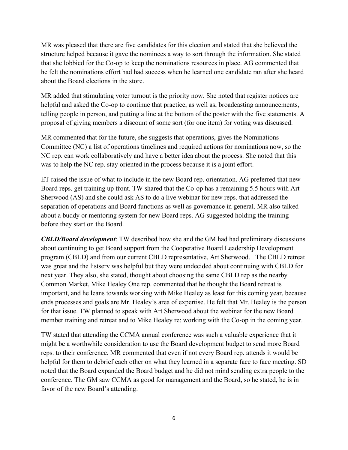MR was pleased that there are five candidates for this election and stated that she believed the structure helped because it gave the nominees a way to sort through the information. She stated that she lobbied for the Co-op to keep the nominations resources in place. AG commented that he felt the nominations effort had had success when he learned one candidate ran after she heard about the Board elections in the store.

MR added that stimulating voter turnout is the priority now. She noted that register notices are helpful and asked the Co-op to continue that practice, as well as, broadcasting announcements, telling people in person, and putting a line at the bottom of the poster with the five statements. A proposal of giving members a discount of some sort (for one item) for voting was discussed.

MR commented that for the future, she suggests that operations, gives the Nominations Committee (NC) a list of operations timelines and required actions for nominations now, so the NC rep. can work collaboratively and have a better idea about the process. She noted that this was to help the NC rep. stay oriented in the process because it is a joint effort.

ET raised the issue of what to include in the new Board rep. orientation. AG preferred that new Board reps. get training up front. TW shared that the Co-op has a remaining 5.5 hours with Art Sherwood (AS) and she could ask AS to do a live webinar for new reps. that addressed the separation of operations and Board functions as well as governance in general. MR also talked about a buddy or mentoring system for new Board reps. AG suggested holding the training before they start on the Board.

*CBLD/Board development*: TW described how she and the GM had had preliminary discussions about continuing to get Board support from the Cooperative Board Leadership Development program (CBLD) and from our current CBLD representative, Art Sherwood. The CBLD retreat was great and the listserv was helpful but they were undecided about continuing with CBLD for next year. They also, she stated, thought about choosing the same CBLD rep as the nearby Common Market, Mike Healey One rep. commented that he thought the Board retreat is important, and he leans towards working with Mike Healey as least for this coming year, because ends processes and goals are Mr. Healey's area of expertise. He felt that Mr. Healey is the person for that issue. TW planned to speak with Art Sherwood about the webinar for the new Board member training and retreat and to Mike Healey re: working with the Co-op in the coming year.

TW stated that attending the CCMA annual conference was such a valuable experience that it might be a worthwhile consideration to use the Board development budget to send more Board reps. to their conference. MR commented that even if not every Board rep. attends it would be helpful for them to debrief each other on what they learned in a separate face to face meeting. SD noted that the Board expanded the Board budget and he did not mind sending extra people to the conference. The GM saw CCMA as good for management and the Board, so he stated, he is in favor of the new Board's attending.